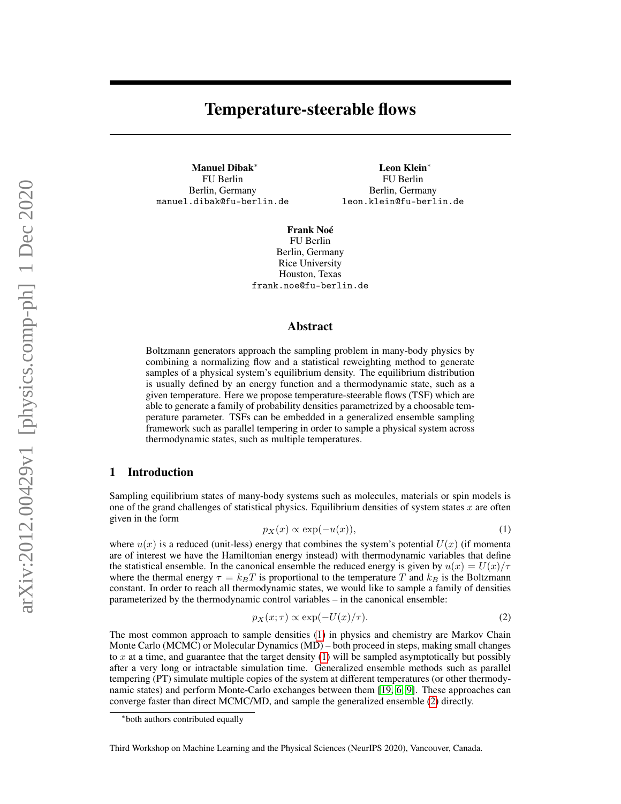# Temperature-steerable flows

Manuel Dibak<sup>∗</sup> FU Berlin Berlin, Germany manuel.dibak@fu-berlin.de

Leon Klein<sup>∗</sup> FU Berlin Berlin, Germany leon.klein@fu-berlin.de

Frank Noé FU Berlin Berlin, Germany Rice University Houston, Texas frank.noe@fu-berlin.de

#### Abstract

Boltzmann generators approach the sampling problem in many-body physics by combining a normalizing flow and a statistical reweighting method to generate samples of a physical system's equilibrium density. The equilibrium distribution is usually defined by an energy function and a thermodynamic state, such as a given temperature. Here we propose temperature-steerable flows (TSF) which are able to generate a family of probability densities parametrized by a choosable temperature parameter. TSFs can be embedded in a generalized ensemble sampling framework such as parallel tempering in order to sample a physical system across thermodynamic states, such as multiple temperatures.

### 1 Introduction

Sampling equilibrium states of many-body systems such as molecules, materials or spin models is one of the grand challenges of statistical physics. Equilibrium densities of system states  $x$  are often given in the form

<span id="page-0-0"></span>
$$
p_X(x) \propto \exp(-u(x)),\tag{1}
$$

where  $u(x)$  is a reduced (unit-less) energy that combines the system's potential  $U(x)$  (if momenta are of interest we have the Hamiltonian energy instead) with thermodynamic variables that define the statistical ensemble. In the canonical ensemble the reduced energy is given by  $u(x) = U(x)/\tau$ where the thermal energy  $\tau = k_B T$  is proportional to the temperature T and  $k_B$  is the Boltzmann constant. In order to reach all thermodynamic states, we would like to sample a family of densities parameterized by the thermodynamic control variables – in the canonical ensemble:

<span id="page-0-1"></span>
$$
p_X(x;\tau) \propto \exp(-U(x)/\tau). \tag{2}
$$

The most common approach to sample densities [\(1\)](#page-0-0) in physics and chemistry are Markov Chain Monte Carlo (MCMC) or Molecular Dynamics (MD) – both proceed in steps, making small changes to  $x$  at a time, and guarantee that the target density  $(1)$  will be sampled asymptotically but possibly after a very long or intractable simulation time. Generalized ensemble methods such as parallel tempering (PT) simulate multiple copies of the system at different temperatures (or other thermodynamic states) and perform Monte-Carlo exchanges between them [\[19,](#page-5-0) [6,](#page-5-1) [9\]](#page-5-2). These approaches can converge faster than direct MCMC/MD, and sample the generalized ensemble [\(2\)](#page-0-1) directly.

<sup>∗</sup> both authors contributed equally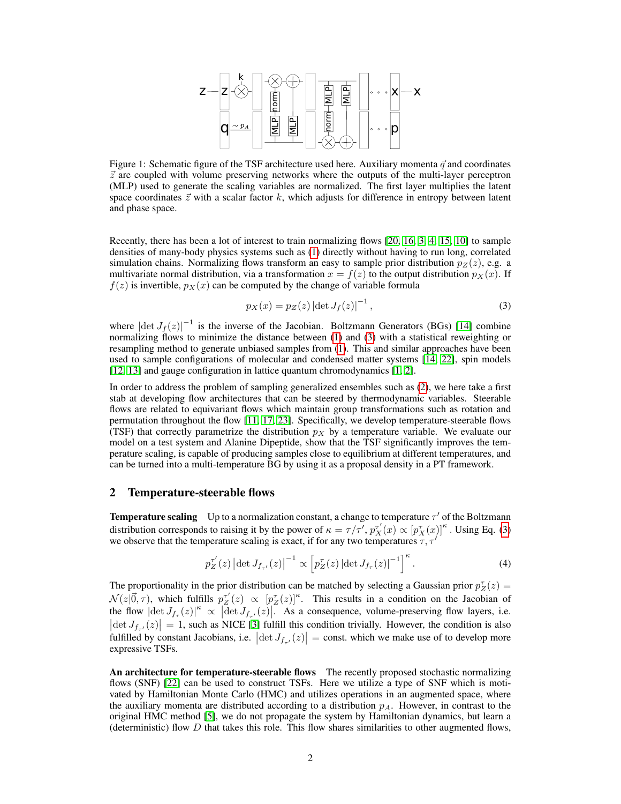

<span id="page-1-2"></span>Figure 1: Schematic figure of the TSF architecture used here. Auxiliary momenta  $\vec{q}$  and coordinates  $\vec{z}$  are coupled with volume preserving networks where the outputs of the multi-layer perceptron (MLP) used to generate the scaling variables are normalized. The first layer multiplies the latent space coordinates  $\vec{z}$  with a scalar factor k, which adjusts for difference in entropy between latent and phase space.

Recently, there has been a lot of interest to train normalizing flows [\[20,](#page-5-3) [16,](#page-5-4) [3,](#page-5-5) [4,](#page-5-6) [15,](#page-5-7) [10\]](#page-5-8) to sample densities of many-body physics systems such as [\(1\)](#page-0-0) directly without having to run long, correlated simulation chains. Normalizing flows transform an easy to sample prior distribution  $p_Z(z)$ , e.g. a multivariate normal distribution, via a transformation  $x = f(z)$  to the output distribution  $p_X(x)$ . If  $f(z)$  is invertible,  $p_X(x)$  can be computed by the change of variable formula

<span id="page-1-0"></span>
$$
p_X(x) = p_Z(z) |\det J_f(z)|^{-1},
$$
\n(3)

where  $|\det J_f(z)|^{-1}$  is the inverse of the Jacobian. Boltzmann Generators (BGs) [\[14\]](#page-5-9) combine normalizing flows to minimize the distance between [\(1\)](#page-0-0) and [\(3\)](#page-1-0) with a statistical reweighting or resampling method to generate unbiased samples from [\(1\)](#page-0-0). This and similar approaches have been used to sample configurations of molecular and condensed matter systems [\[14,](#page-5-9) [22\]](#page-5-10), spin models [\[12,](#page-5-11) [13\]](#page-5-12) and gauge configuration in lattice quantum chromodynamics [\[1,](#page-4-0) [2\]](#page-4-1).

In order to address the problem of sampling generalized ensembles such as [\(2\)](#page-0-1), we here take a first stab at developing flow architectures that can be steered by thermodynamic variables. Steerable flows are related to equivariant flows which maintain group transformations such as rotation and permutation throughout the flow [\[11,](#page-5-13) [17,](#page-5-14) [23\]](#page-5-15). Specifically, we develop temperature-steerable flows (TSF) that correctly parametrize the distribution  $p<sub>X</sub>$  by a temperature variable. We evaluate our model on a test system and Alanine Dipeptide, show that the TSF significantly improves the temperature scaling, is capable of producing samples close to equilibrium at different temperatures, and can be turned into a multi-temperature BG by using it as a proposal density in a PT framework.

#### 2 Temperature-steerable flows

**Temperature scaling** Up to a normalization constant, a change to temperature  $\tau'$  of the Boltzmann distribution corresponds to raising it by the power of  $\kappa = \tau/\tau'$ ,  $p_X^{\tau'}(x) \propto [p_X^{\tau'}(x)]^{\kappa}$ . Using Eq. [\(3\)](#page-1-0) we observe that the temperature scaling is exact, if for any two temperatures  $\tau, \tau'$ 

<span id="page-1-1"></span>
$$
p_Z^{\tau'}(z) |\det J_{f_{\tau'}}(z)|^{-1} \propto \left[ p_Z^{\tau}(z) |\det J_{f_{\tau}}(z)|^{-1} \right]^{\kappa}.
$$
 (4)

The proportionality in the prior distribution can be matched by selecting a Gaussian prior  $p_Z^{\tau}(z) =$  $\mathcal{N}(z|\vec{0},\tau)$ , which fulfills  $p_Z^{\tau'}(z) \propto [p_Z^{\tau}(z)]^{\kappa}$ . This results in a condition on the Jacobian of the flow  $|\det J_{f_{\tau}}(z)|^{\kappa} \propto |\det J_{f_{\tau'}}(z)|^{\kappa}$ . As a consequence, volume-preserving flow layers, i.e.  $|\det J_{f_{\tau'}}(z)| = 1$ , such as NICE [\[3\]](#page-5-5) fulfill this condition trivially. However, the condition is also fulfilled by constant Jacobians, i.e.  $|\det J_{f_{\tau'}}(z)| = \text{const.}$  which we make use of to develop more expressive TSFs.

An architecture for temperature-steerable flows The recently proposed stochastic normalizing flows (SNF) [\[22\]](#page-5-10) can be used to construct TSFs. Here we utilize a type of SNF which is motivated by Hamiltonian Monte Carlo (HMC) and utilizes operations in an augmented space, where the auxiliary momenta are distributed according to a distribution  $p_A$ . However, in contrast to the original HMC method [\[5\]](#page-5-16), we do not propagate the system by Hamiltonian dynamics, but learn a (deterministic) flow  $D$  that takes this role. This flow shares similarities to other augmented flows,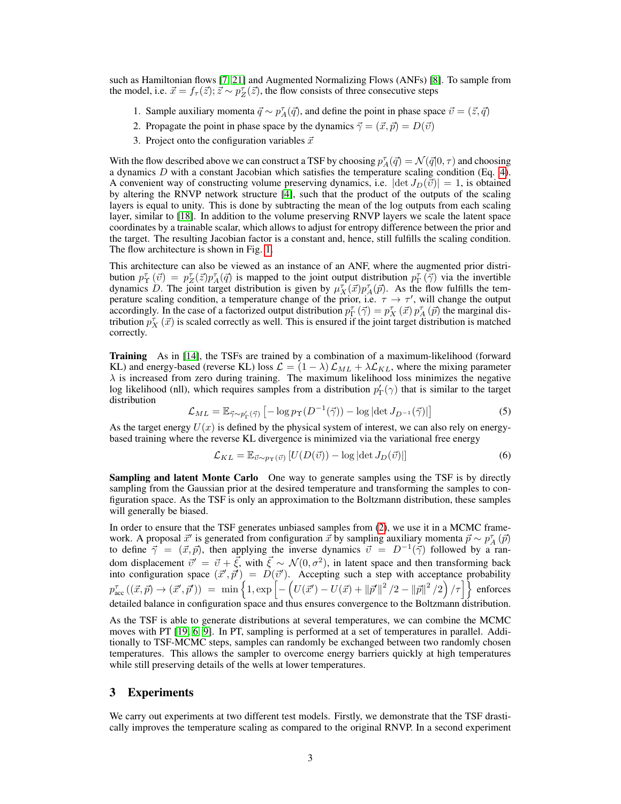such as Hamiltonian flows [\[7,](#page-5-17) [21\]](#page-5-18) and Augmented Normalizing Flows (ANFs) [\[8\]](#page-5-19). To sample from the model, i.e.  $\vec{x} = f_{\tau}(\vec{z}); \vec{z} \sim p_Z^{\tau}(\vec{z})$ , the flow consists of three consecutive steps

- 1. Sample auxiliary momenta  $\vec{q} \sim p_A^{\tau}(\vec{q})$ , and define the point in phase space  $\vec{v} = (\vec{z}, \vec{q})$
- 2. Propagate the point in phase space by the dynamics  $\vec{\gamma} = (\vec{x}, \vec{p}) = D(\vec{v})$
- 3. Project onto the configuration variables  $\vec{x}$

With the flow described above we can construct a TSF by choosing  $p_A^{\tau}(q) = \mathcal{N}(q|0, \tau)$  and choosing a dynamics  $D$  with a constant Jacobian which satisfies the temperature scaling condition (Eq. [4\)](#page-1-1). A convenient way of constructing volume preserving dynamics, i.e.  $|\det J_D(\vec{v})| = 1$ , is obtained by altering the RNVP network structure [\[4\]](#page-5-6), such that the product of the outputs of the scaling layers is equal to unity. This is done by subtracting the mean of the log outputs from each scaling layer, similar to [\[18\]](#page-5-20). In addition to the volume preserving RNVP layers we scale the latent space coordinates by a trainable scalar, which allows to adjust for entropy difference between the prior and the target. The resulting Jacobian factor is a constant and, hence, still fulfills the scaling condition. The flow architecture is shown in Fig. [1.](#page-1-2)

This architecture can also be viewed as an instance of an ANF, where the augmented prior distribution  $p_T^{\tau}(\vec{v}) = p_Z^{\tau}(\vec{z}) p_A^{\tau}(\vec{q})$  is mapped to the joint output distribution  $p_T^{\tau}(\vec{\gamma})$  via the invertible dynamics D. The joint target distribution is given by  $\mu_X^{\tau}(\vec{x})p_A^{\tau}(\vec{p})$ . As the flow fulfills the temperature scaling condition, a temperature change of the prior, i.e.  $\tau \to \tau'$ , will change the output accordingly. In the case of a factorized output distribution  $p_{\Gamma}^{\tau}(\vec{\gamma}) = p_X^{\tau}(\vec{x}) p_A^{\tau}(\vec{p})$  the marginal distribution  $p_X^{\tau}(\vec{x})$  is scaled correctly as well. This is ensured if the joint target distribution is matched correctly.

Training As in [\[14\]](#page-5-9), the TSFs are trained by a combination of a maximum-likelihood (forward KL) and energy-based (reverse KL) loss  $\mathcal{L} = (1 - \lambda) \mathcal{L}_{ML} + \lambda \mathcal{L}_{KL}$ , where the mixing parameter  $\lambda$  is increased from zero during training. The maximum likelihood loss minimizes the negative log likelihood (nll), which requires samples from a distribution  $p'_\Gamma(\gamma)$  that is similar to the target distribution

<span id="page-2-0"></span>
$$
\mathcal{L}_{ML} = \mathbb{E}_{\vec{\gamma} \sim p_{\Gamma}'(\vec{\gamma})} \left[ -\log p_{\Upsilon}(D^{-1}(\vec{\gamma})) - \log|\det J_{D^{-1}}(\vec{\gamma})| \right] \tag{5}
$$

As the target energy  $U(x)$  is defined by the physical system of interest, we can also rely on energybased training where the reverse KL divergence is minimized via the variational free energy

$$
\mathcal{L}_{KL} = \mathbb{E}_{\vec{v} \sim p_T(\vec{v})} \left[ U(D(\vec{v})) - \log |\det J_D(\vec{v})| \right] \tag{6}
$$

**Sampling and latent Monte Carlo** One way to generate samples using the TSF is by directly sampling from the Gaussian prior at the desired temperature and transforming the samples to configuration space. As the TSF is only an approximation to the Boltzmann distribution, these samples will generally be biased.

In order to ensure that the TSF generates unbiased samples from [\(2\)](#page-0-1), we use it in a MCMC framework. A proposal  $\vec{x}'$  is generated from configuration  $\vec{x}$  by sampling auxiliary momenta  $\vec{p} \sim p_A^{\tau}(\vec{p})$ to define  $\vec{\gamma} = (\vec{x}, \vec{p})$ , then applying the inverse dynamics  $\vec{v} = D^{-1}(\vec{\gamma})$  followed by a random displacement  $\vec{v}' = \vec{v} + \vec{\xi}$ , with  $\vec{\xi} \sim \mathcal{N}(0, \sigma^2)$ , in latent space and then transforming back into configuration space  $(\vec{x}', \vec{p}') = D(\vec{v}')$ . Accepting such a step with acceptance probability  $p^{\tau}_{\rm acc}\left((\vec{x},\vec{p})\rightarrow(\vec{x}',\vec{p}')\right) \;=\; \min\left\{1,\exp\left[-\left(U(\vec{x}')-U(\vec{x})+\left\|\vec{p}'\right\|^2/2-\left\|\vec{p}\right\|^2/2\right)/\tau\right]\right\} \; {\rm enforces}$ detailed balance in configuration space and thus ensures convergence to the Boltzmann distribution.

As the TSF is able to generate distributions at several temperatures, we can combine the MCMC moves with PT [\[19,](#page-5-0) [6,](#page-5-1) [9\]](#page-5-2). In PT, sampling is performed at a set of temperatures in parallel. Additionally to TSF-MCMC steps, samples can randomly be exchanged between two randomly chosen temperatures. This allows the sampler to overcome energy barriers quickly at high temperatures while still preserving details of the wells at lower temperatures.

# 3 Experiments

We carry out experiments at two different test models. Firstly, we demonstrate that the TSF drastically improves the temperature scaling as compared to the original RNVP. In a second experiment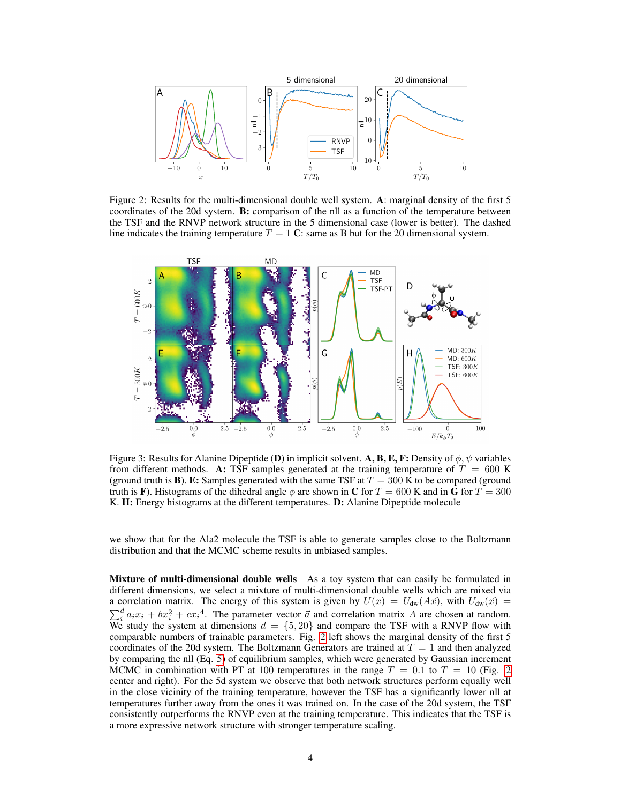

<span id="page-3-0"></span>Figure 2: Results for the multi-dimensional double well system. A: marginal density of the first 5 coordinates of the 20d system. **B:** comparison of the nll as a function of the temperature between the TSF and the RNVP network structure in the 5 dimensional case (lower is better). The dashed line indicates the training temperature  $T = 1$  C: same as B but for the 20 dimensional system.



Figure 3: Results for Alanine Dipeptide (D) in implicit solvent. A, B, E, F: Density of  $\phi$ ,  $\psi$  variables from different methods. A: TSF samples generated at the training temperature of  $T = 600$  K (ground truth is **B**). E: Samples generated with the same TSF at  $T = 300$  K to be compared (ground truth is F). Histograms of the dihedral angle  $\phi$  are shown in C for  $T = 600$  K and in G for  $T = 300$ K. H: Energy histograms at the different temperatures. D: Alanine Dipeptide molecule

we show that for the Ala2 molecule the TSF is able to generate samples close to the Boltzmann distribution and that the MCMC scheme results in unbiased samples.

Mixture of multi-dimensional double wells As a toy system that can easily be formulated in different dimensions, we select a mixture of multi-dimensional double wells which are mixed via a correlation matrix. The energy of this system is given by  $U(x) = U_{dw}(A\vec{x})$ , with  $U_{dw}(\vec{x}) =$  $\sum_{i=1}^{d} a_i x_i + bx_i^2 + cx_i^4$ . The parameter vector  $\vec{a}$  and correlation matrix A are chosen at random. We study the system at dimensions  $d = \{5, 20\}$  and compare the TSF with a RNVP flow with comparable numbers of trainable parameters. Fig. [2](#page-3-0) left shows the marginal density of the first 5 coordinates of the 20d system. The Boltzmann Generators are trained at  $T = 1$  and then analyzed by comparing the nll (Eq. [5\)](#page-2-0) of equilibrium samples, which were generated by Gaussian increment MCMC in combination with PT at 100 temperatures in the range  $T = 0.1$  to  $T = 10$  (Fig. [2](#page-3-0)) center and right). For the 5d system we observe that both network structures perform equally well in the close vicinity of the training temperature, however the TSF has a significantly lower nll at temperatures further away from the ones it was trained on. In the case of the 20d system, the TSF consistently outperforms the RNVP even at the training temperature. This indicates that the TSF is a more expressive network structure with stronger temperature scaling.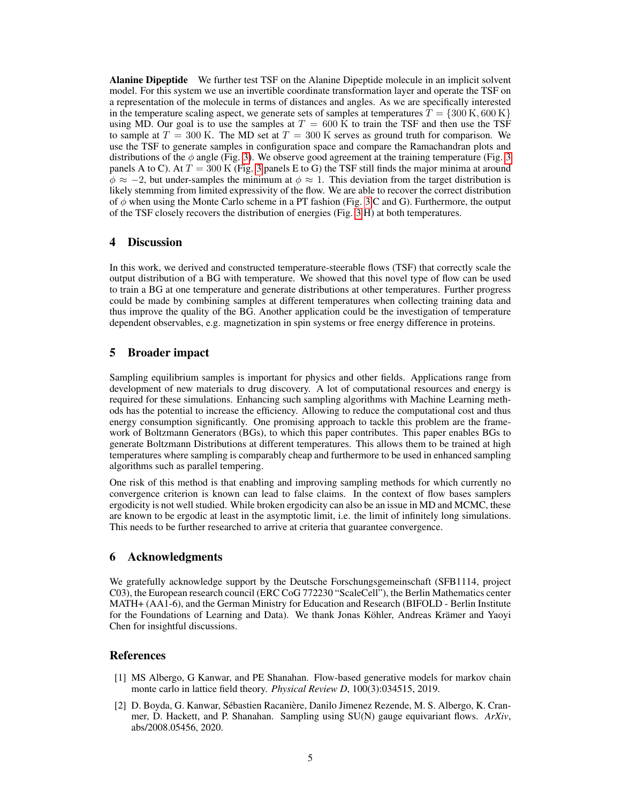<span id="page-4-2"></span>Alanine Dipeptide We further test TSF on the Alanine Dipeptide molecule in an implicit solvent model. For this system we use an invertible coordinate transformation layer and operate the TSF on a representation of the molecule in terms of distances and angles. As we are specifically interested in the temperature scaling aspect, we generate sets of samples at temperatures  $\overline{T} = \{300 \text{ K}, 600 \text{ K}\}\$ using MD. Our goal is to use the samples at  $T = 600 \text{ K}$  to train the TSF and then use the TSF to sample at  $T = 300$  K. The MD set at  $T = 300$  K serves as ground truth for comparison. We use the TSF to generate samples in configuration space and compare the Ramachandran plots and distributions of the  $\phi$  angle (Fig. [3\)](#page-4-2). We observe good agreement at the training temperature (Fig. [3](#page-4-2)) panels A to C). At  $T = 300$  $T = 300$  $T = 300$  K (Fig. 3 panels E to G) the TSF still finds the major minima at around  $\phi \approx -2$ , but under-samples the minimum at  $\phi \approx 1$ . This deviation from the target distribution is likely stemming from limited expressivity of the flow. We are able to recover the correct distribution of  $\phi$  when using the Monte Carlo scheme in a PT fashion (Fig. [3](#page-4-2) C and G). Furthermore, the output of the TSF closely recovers the distribution of energies (Fig. [3](#page-4-2) H) at both temperatures.

# 4 Discussion

In this work, we derived and constructed temperature-steerable flows (TSF) that correctly scale the output distribution of a BG with temperature. We showed that this novel type of flow can be used to train a BG at one temperature and generate distributions at other temperatures. Further progress could be made by combining samples at different temperatures when collecting training data and thus improve the quality of the BG. Another application could be the investigation of temperature dependent observables, e.g. magnetization in spin systems or free energy difference in proteins.

# 5 Broader impact

Sampling equilibrium samples is important for physics and other fields. Applications range from development of new materials to drug discovery. A lot of computational resources and energy is required for these simulations. Enhancing such sampling algorithms with Machine Learning methods has the potential to increase the efficiency. Allowing to reduce the computational cost and thus energy consumption significantly. One promising approach to tackle this problem are the framework of Boltzmann Generators (BGs), to which this paper contributes. This paper enables BGs to generate Boltzmann Distributions at different temperatures. This allows them to be trained at high temperatures where sampling is comparably cheap and furthermore to be used in enhanced sampling algorithms such as parallel tempering.

One risk of this method is that enabling and improving sampling methods for which currently no convergence criterion is known can lead to false claims. In the context of flow bases samplers ergodicity is not well studied. While broken ergodicity can also be an issue in MD and MCMC, these are known to be ergodic at least in the asymptotic limit, i.e. the limit of infinitely long simulations. This needs to be further researched to arrive at criteria that guarantee convergence.

#### 6 Acknowledgments

We gratefully acknowledge support by the Deutsche Forschungsgemeinschaft (SFB1114, project C03), the European research council (ERC CoG 772230 "ScaleCell"), the Berlin Mathematics center MATH+ (AA1-6), and the German Ministry for Education and Research (BIFOLD - Berlin Institute for the Foundations of Learning and Data). We thank Jonas Köhler, Andreas Krämer and Yaoyi Chen for insightful discussions.

#### References

- <span id="page-4-0"></span>[1] MS Albergo, G Kanwar, and PE Shanahan. Flow-based generative models for markov chain monte carlo in lattice field theory. *Physical Review D*, 100(3):034515, 2019.
- <span id="page-4-1"></span>[2] D. Boyda, G. Kanwar, Sébastien Racanière, Danilo Jimenez Rezende, M. S. Albergo, K. Cranmer, D. Hackett, and P. Shanahan. Sampling using SU(N) gauge equivariant flows. *ArXiv*, abs/2008.05456, 2020.